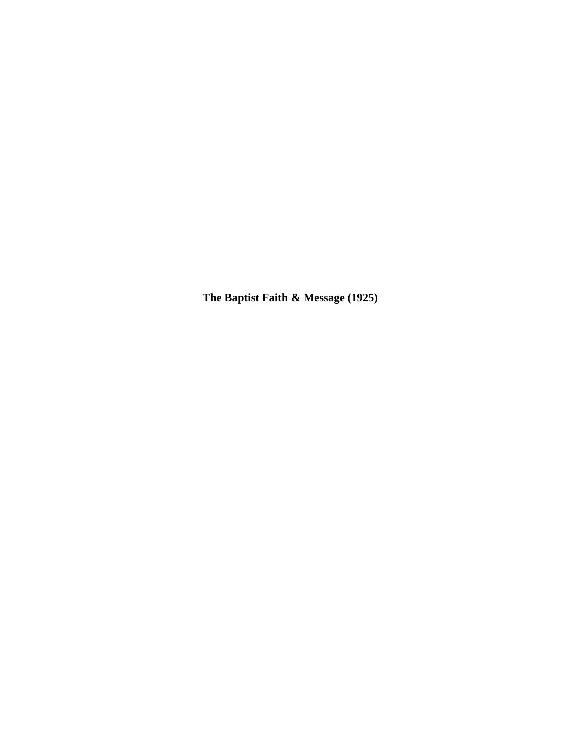**The Baptist Faith & Message (1925)**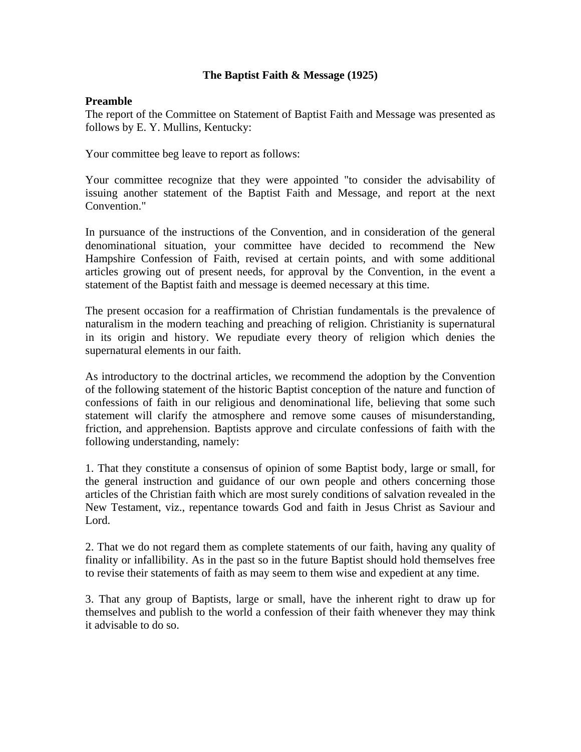### **The Baptist Faith & Message (1925)**

### **Preamble**

The report of the Committee on Statement of Baptist Faith and Message was presented as follows by E. Y. Mullins, Kentucky:

Your committee beg leave to report as follows:

Your committee recognize that they were appointed "to consider the advisability of issuing another statement of the Baptist Faith and Message, and report at the next Convention."

In pursuance of the instructions of the Convention, and in consideration of the general denominational situation, your committee have decided to recommend the New Hampshire Confession of Faith, revised at certain points, and with some additional articles growing out of present needs, for approval by the Convention, in the event a statement of the Baptist faith and message is deemed necessary at this time.

The present occasion for a reaffirmation of Christian fundamentals is the prevalence of naturalism in the modern teaching and preaching of religion. Christianity is supernatural in its origin and history. We repudiate every theory of religion which denies the supernatural elements in our faith.

As introductory to the doctrinal articles, we recommend the adoption by the Convention of the following statement of the historic Baptist conception of the nature and function of confessions of faith in our religious and denominational life, believing that some such statement will clarify the atmosphere and remove some causes of misunderstanding, friction, and apprehension. Baptists approve and circulate confessions of faith with the following understanding, namely:

1. That they constitute a consensus of opinion of some Baptist body, large or small, for the general instruction and guidance of our own people and others concerning those articles of the Christian faith which are most surely conditions of salvation revealed in the New Testament, viz., repentance towards God and faith in Jesus Christ as Saviour and Lord.

2. That we do not regard them as complete statements of our faith, having any quality of finality or infallibility. As in the past so in the future Baptist should hold themselves free to revise their statements of faith as may seem to them wise and expedient at any time.

3. That any group of Baptists, large or small, have the inherent right to draw up for themselves and publish to the world a confession of their faith whenever they may think it advisable to do so.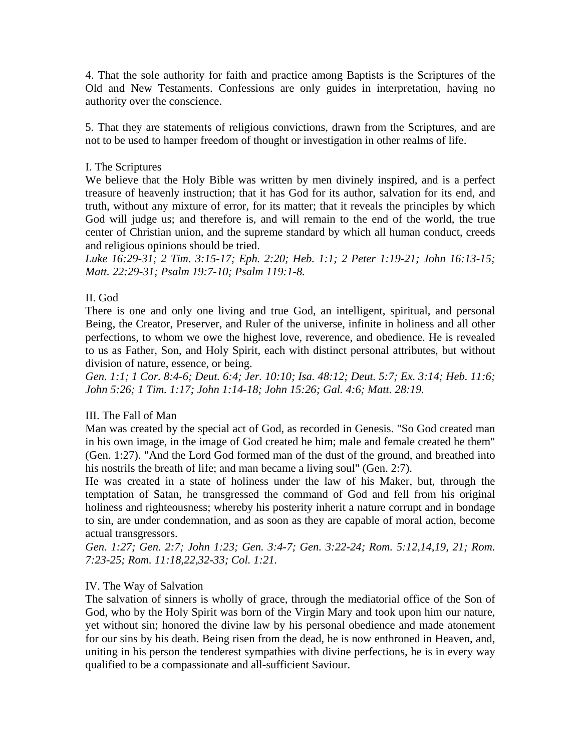4. That the sole authority for faith and practice among Baptists is the Scriptures of the Old and New Testaments. Confessions are only guides in interpretation, having no authority over the conscience.

5. That they are statements of religious convictions, drawn from the Scriptures, and are not to be used to hamper freedom of thought or investigation in other realms of life.

# I. The Scriptures

We believe that the Holy Bible was written by men divinely inspired, and is a perfect treasure of heavenly instruction; that it has God for its author, salvation for its end, and truth, without any mixture of error, for its matter; that it reveals the principles by which God will judge us; and therefore is, and will remain to the end of the world, the true center of Christian union, and the supreme standard by which all human conduct, creeds and religious opinions should be tried.

*Luke 16:29-31; 2 Tim. 3:15-17; Eph. 2:20; Heb. 1:1; 2 Peter 1:19-21; John 16:13-15; Matt. 22:29-31; Psalm 19:7-10; Psalm 119:1-8.* 

## II. God

There is one and only one living and true God, an intelligent, spiritual, and personal Being, the Creator, Preserver, and Ruler of the universe, infinite in holiness and all other perfections, to whom we owe the highest love, reverence, and obedience. He is revealed to us as Father, Son, and Holy Spirit, each with distinct personal attributes, but without division of nature, essence, or being.

*Gen. 1:1; 1 Cor. 8:4-6; Deut. 6:4; Jer. 10:10; Isa. 48:12; Deut. 5:7; Ex. 3:14; Heb. 11:6; John 5:26; 1 Tim. 1:17; John 1:14-18; John 15:26; Gal. 4:6; Matt. 28:19.*

### III. The Fall of Man

Man was created by the special act of God, as recorded in Genesis. "So God created man in his own image, in the image of God created he him; male and female created he them" (Gen. 1:27). "And the Lord God formed man of the dust of the ground, and breathed into his nostrils the breath of life; and man became a living soul" (Gen. 2:7).

He was created in a state of holiness under the law of his Maker, but, through the temptation of Satan, he transgressed the command of God and fell from his original holiness and righteousness; whereby his posterity inherit a nature corrupt and in bondage to sin, are under condemnation, and as soon as they are capable of moral action, become actual transgressors.

*Gen. 1:27; Gen. 2:7; John 1:23; Gen. 3:4-7; Gen. 3:22-24; Rom. 5:12,14,19, 21; Rom. 7:23-25; Rom. 11:18,22,32-33; Col. 1:21.*

### IV. The Way of Salvation

The salvation of sinners is wholly of grace, through the mediatorial office of the Son of God, who by the Holy Spirit was born of the Virgin Mary and took upon him our nature, yet without sin; honored the divine law by his personal obedience and made atonement for our sins by his death. Being risen from the dead, he is now enthroned in Heaven, and, uniting in his person the tenderest sympathies with divine perfections, he is in every way qualified to be a compassionate and all-sufficient Saviour.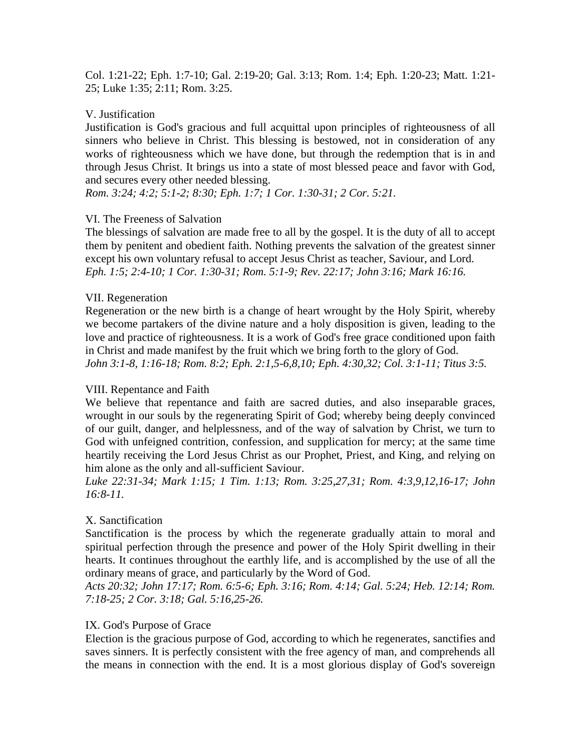Col. 1:21-22; Eph. 1:7-10; Gal. 2:19-20; Gal. 3:13; Rom. 1:4; Eph. 1:20-23; Matt. 1:21- 25; Luke 1:35; 2:11; Rom. 3:25.

### V. Justification

Justification is God's gracious and full acquittal upon principles of righteousness of all sinners who believe in Christ. This blessing is bestowed, not in consideration of any works of righteousness which we have done, but through the redemption that is in and through Jesus Christ. It brings us into a state of most blessed peace and favor with God, and secures every other needed blessing.

*Rom. 3:24; 4:2; 5:1-2; 8:30; Eph. 1:7; 1 Cor. 1:30-31; 2 Cor. 5:21.* 

## VI. The Freeness of Salvation

The blessings of salvation are made free to all by the gospel. It is the duty of all to accept them by penitent and obedient faith. Nothing prevents the salvation of the greatest sinner except his own voluntary refusal to accept Jesus Christ as teacher, Saviour, and Lord. *Eph. 1:5; 2:4-10; 1 Cor. 1:30-31; Rom. 5:1-9; Rev. 22:17; John 3:16; Mark 16:16.*

## VII. Regeneration

Regeneration or the new birth is a change of heart wrought by the Holy Spirit, whereby we become partakers of the divine nature and a holy disposition is given, leading to the love and practice of righteousness. It is a work of God's free grace conditioned upon faith in Christ and made manifest by the fruit which we bring forth to the glory of God. *John 3:1-8, 1:16-18; Rom. 8:2; Eph. 2:1,5-6,8,10; Eph. 4:30,32; Col. 3:1-11; Titus 3:5.*

# VIII. Repentance and Faith

We believe that repentance and faith are sacred duties, and also inseparable graces, wrought in our souls by the regenerating Spirit of God; whereby being deeply convinced of our guilt, danger, and helplessness, and of the way of salvation by Christ, we turn to God with unfeigned contrition, confession, and supplication for mercy; at the same time heartily receiving the Lord Jesus Christ as our Prophet, Priest, and King, and relying on him alone as the only and all-sufficient Saviour.

*Luke 22:31-34; Mark 1:15; 1 Tim. 1:13; Rom. 3:25,27,31; Rom. 4:3,9,12,16-17; John 16:8-11.*

# X. Sanctification

Sanctification is the process by which the regenerate gradually attain to moral and spiritual perfection through the presence and power of the Holy Spirit dwelling in their hearts. It continues throughout the earthly life, and is accomplished by the use of all the ordinary means of grace, and particularly by the Word of God.

*Acts 20:32; John 17:17; Rom. 6:5-6; Eph. 3:16; Rom. 4:14; Gal. 5:24; Heb. 12:14; Rom. 7:18-25; 2 Cor. 3:18; Gal. 5:16,25-26.* 

### IX. God's Purpose of Grace

Election is the gracious purpose of God, according to which he regenerates, sanctifies and saves sinners. It is perfectly consistent with the free agency of man, and comprehends all the means in connection with the end. It is a most glorious display of God's sovereign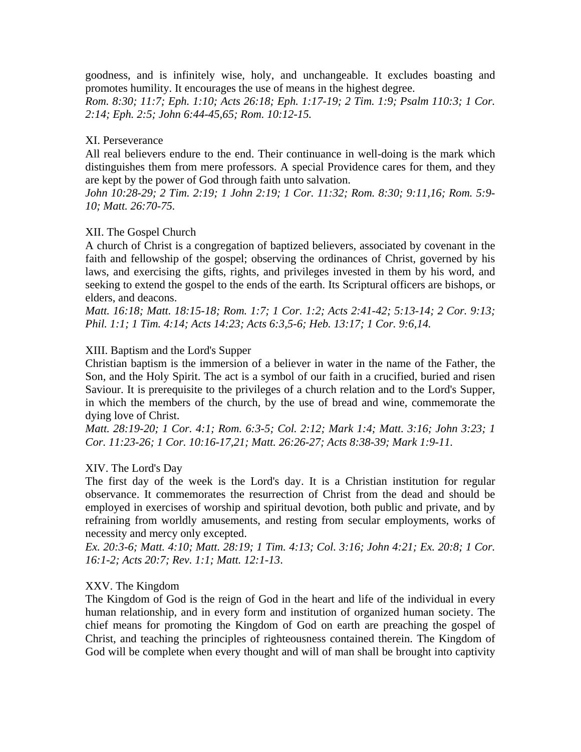goodness, and is infinitely wise, holy, and unchangeable. It excludes boasting and promotes humility. It encourages the use of means in the highest degree.

*Rom. 8:30; 11:7; Eph. 1:10; Acts 26:18; Eph. 1:17-19; 2 Tim. 1:9; Psalm 110:3; 1 Cor. 2:14; Eph. 2:5; John 6:44-45,65; Rom. 10:12-15.* 

### XI. Perseverance

All real believers endure to the end. Their continuance in well-doing is the mark which distinguishes them from mere professors. A special Providence cares for them, and they are kept by the power of God through faith unto salvation.

*John 10:28-29; 2 Tim. 2:19; 1 John 2:19; 1 Cor. 11:32; Rom. 8:30; 9:11,16; Rom. 5:9- 10; Matt. 26:70-75.*

### XII. The Gospel Church

A church of Christ is a congregation of baptized believers, associated by covenant in the faith and fellowship of the gospel; observing the ordinances of Christ, governed by his laws, and exercising the gifts, rights, and privileges invested in them by his word, and seeking to extend the gospel to the ends of the earth. Its Scriptural officers are bishops, or elders, and deacons.

*Matt. 16:18; Matt. 18:15-18; Rom. 1:7; 1 Cor. 1:2; Acts 2:41-42; 5:13-14; 2 Cor. 9:13; Phil. 1:1; 1 Tim. 4:14; Acts 14:23; Acts 6:3,5-6; Heb. 13:17; 1 Cor. 9:6,14.*

### XIII. Baptism and the Lord's Supper

Christian baptism is the immersion of a believer in water in the name of the Father, the Son, and the Holy Spirit. The act is a symbol of our faith in a crucified, buried and risen Saviour. It is prerequisite to the privileges of a church relation and to the Lord's Supper, in which the members of the church, by the use of bread and wine, commemorate the dying love of Christ.

*Matt. 28:19-20; 1 Cor. 4:1; Rom. 6:3-5; Col. 2:12; Mark 1:4; Matt. 3:16; John 3:23; 1 Cor. 11:23-26; 1 Cor. 10:16-17,21; Matt. 26:26-27; Acts 8:38-39; Mark 1:9-11.*

### XIV. The Lord's Day

The first day of the week is the Lord's day. It is a Christian institution for regular observance. It commemorates the resurrection of Christ from the dead and should be employed in exercises of worship and spiritual devotion, both public and private, and by refraining from worldly amusements, and resting from secular employments, works of necessity and mercy only excepted.

*Ex. 20:3-6; Matt. 4:10; Matt. 28:19; 1 Tim. 4:13; Col. 3:16; John 4:21; Ex. 20:8; 1 Cor. 16:1-2; Acts 20:7; Rev. 1:1; Matt. 12:1-13*.

### XXV. The Kingdom

The Kingdom of God is the reign of God in the heart and life of the individual in every human relationship, and in every form and institution of organized human society. The chief means for promoting the Kingdom of God on earth are preaching the gospel of Christ, and teaching the principles of righteousness contained therein. The Kingdom of God will be complete when every thought and will of man shall be brought into captivity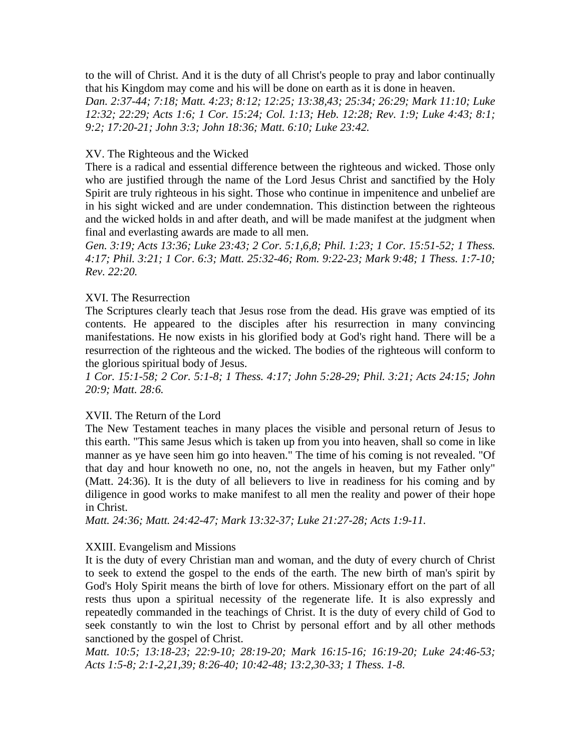to the will of Christ. And it is the duty of all Christ's people to pray and labor continually that his Kingdom may come and his will be done on earth as it is done in heaven.

*Dan. 2:37-44; 7:18; Matt. 4:23; 8:12; 12:25; 13:38,43; 25:34; 26:29; Mark 11:10; Luke 12:32; 22:29; Acts 1:6; 1 Cor. 15:24; Col. 1:13; Heb. 12:28; Rev. 1:9; Luke 4:43; 8:1; 9:2; 17:20-21; John 3:3; John 18:36; Matt. 6:10; Luke 23:42.*

### XV. The Righteous and the Wicked

There is a radical and essential difference between the righteous and wicked. Those only who are justified through the name of the Lord Jesus Christ and sanctified by the Holy Spirit are truly righteous in his sight. Those who continue in impenitence and unbelief are in his sight wicked and are under condemnation. This distinction between the righteous and the wicked holds in and after death, and will be made manifest at the judgment when final and everlasting awards are made to all men.

*Gen. 3:19; Acts 13:36; Luke 23:43; 2 Cor. 5:1,6,8; Phil. 1:23; 1 Cor. 15:51-52; 1 Thess. 4:17; Phil. 3:21; 1 Cor. 6:3; Matt. 25:32-46; Rom. 9:22-23; Mark 9:48; 1 Thess. 1:7-10; Rev. 22:20.* 

### XVI. The Resurrection

The Scriptures clearly teach that Jesus rose from the dead. His grave was emptied of its contents. He appeared to the disciples after his resurrection in many convincing manifestations. He now exists in his glorified body at God's right hand. There will be a resurrection of the righteous and the wicked. The bodies of the righteous will conform to the glorious spiritual body of Jesus.

*1 Cor. 15:1-58; 2 Cor. 5:1-8; 1 Thess. 4:17; John 5:28-29; Phil. 3:21; Acts 24:15; John 20:9; Matt. 28:6.* 

### XVII. The Return of the Lord

The New Testament teaches in many places the visible and personal return of Jesus to this earth. "This same Jesus which is taken up from you into heaven, shall so come in like manner as ye have seen him go into heaven." The time of his coming is not revealed. "Of that day and hour knoweth no one, no, not the angels in heaven, but my Father only" (Matt. 24:36). It is the duty of all believers to live in readiness for his coming and by diligence in good works to make manifest to all men the reality and power of their hope in Christ.

*Matt. 24:36; Matt. 24:42-47; Mark 13:32-37; Luke 21:27-28; Acts 1:9-11.*

### XXIII. Evangelism and Missions

It is the duty of every Christian man and woman, and the duty of every church of Christ to seek to extend the gospel to the ends of the earth. The new birth of man's spirit by God's Holy Spirit means the birth of love for others. Missionary effort on the part of all rests thus upon a spiritual necessity of the regenerate life. It is also expressly and repeatedly commanded in the teachings of Christ. It is the duty of every child of God to seek constantly to win the lost to Christ by personal effort and by all other methods sanctioned by the gospel of Christ.

*Matt. 10:5; 13:18-23; 22:9-10; 28:19-20; Mark 16:15-16; 16:19-20; Luke 24:46-53; Acts 1:5-8; 2:1-2,21,39; 8:26-40; 10:42-48; 13:2,30-33; 1 Thess. 1-8*.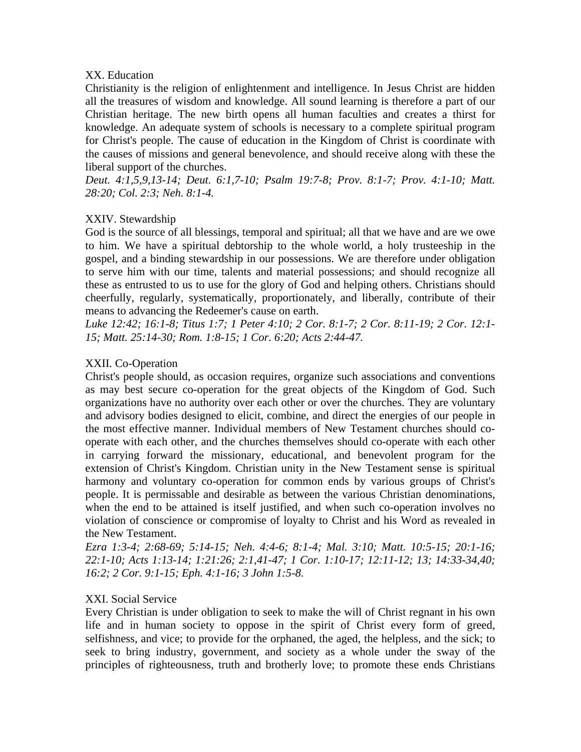### XX. Education

Christianity is the religion of enlightenment and intelligence. In Jesus Christ are hidden all the treasures of wisdom and knowledge. All sound learning is therefore a part of our Christian heritage. The new birth opens all human faculties and creates a thirst for knowledge. An adequate system of schools is necessary to a complete spiritual program for Christ's people. The cause of education in the Kingdom of Christ is coordinate with the causes of missions and general benevolence, and should receive along with these the liberal support of the churches.

*Deut. 4:1,5,9,13-14; Deut. 6:1,7-10; Psalm 19:7-8; Prov. 8:1-7; Prov. 4:1-10; Matt. 28:20; Col. 2:3; Neh. 8:1-4.*

## XXIV. Stewardship

God is the source of all blessings, temporal and spiritual; all that we have and are we owe to him. We have a spiritual debtorship to the whole world, a holy trusteeship in the gospel, and a binding stewardship in our possessions. We are therefore under obligation to serve him with our time, talents and material possessions; and should recognize all these as entrusted to us to use for the glory of God and helping others. Christians should cheerfully, regularly, systematically, proportionately, and liberally, contribute of their means to advancing the Redeemer's cause on earth.

*Luke 12:42; 16:1-8; Titus 1:7; 1 Peter 4:10; 2 Cor. 8:1-7; 2 Cor. 8:11-19; 2 Cor. 12:1- 15; Matt. 25:14-30; Rom. 1:8-15; 1 Cor. 6:20; Acts 2:44-47.*

# XXII. Co-Operation

Christ's people should, as occasion requires, organize such associations and conventions as may best secure co-operation for the great objects of the Kingdom of God. Such organizations have no authority over each other or over the churches. They are voluntary and advisory bodies designed to elicit, combine, and direct the energies of our people in the most effective manner. Individual members of New Testament churches should cooperate with each other, and the churches themselves should co-operate with each other in carrying forward the missionary, educational, and benevolent program for the extension of Christ's Kingdom. Christian unity in the New Testament sense is spiritual harmony and voluntary co-operation for common ends by various groups of Christ's people. It is permissable and desirable as between the various Christian denominations, when the end to be attained is itself justified, and when such co-operation involves no violation of conscience or compromise of loyalty to Christ and his Word as revealed in the New Testament.

*Ezra 1:3-4; 2:68-69; 5:14-15; Neh. 4:4-6; 8:1-4; Mal. 3:10; Matt. 10:5-15; 20:1-16; 22:1-10; Acts 1:13-14; 1:21:26; 2:1,41-47; 1 Cor. 1:10-17; 12:11-12; 13; 14:33-34,40; 16:2; 2 Cor. 9:1-15; Eph. 4:1-16; 3 John 1:5-8.* 

### XXI. Social Service

Every Christian is under obligation to seek to make the will of Christ regnant in his own life and in human society to oppose in the spirit of Christ every form of greed, selfishness, and vice; to provide for the orphaned, the aged, the helpless, and the sick; to seek to bring industry, government, and society as a whole under the sway of the principles of righteousness, truth and brotherly love; to promote these ends Christians